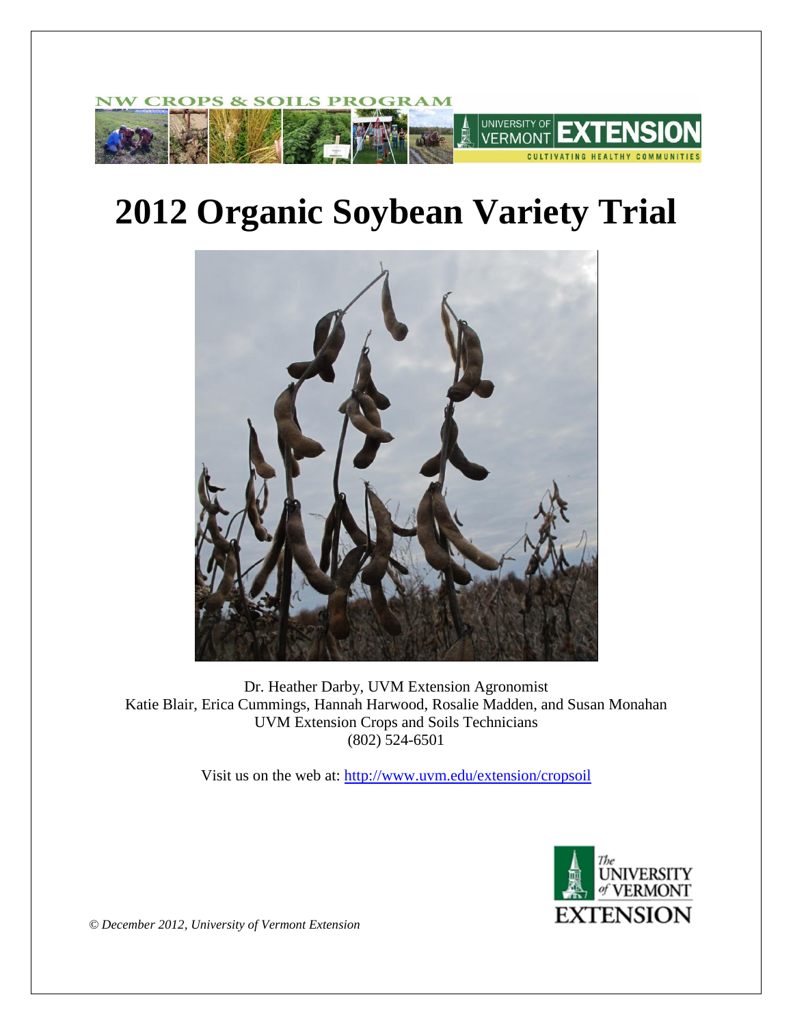

# **2012 Organic Soybean Variety Trial**



Dr. Heather Darby, UVM Extension Agronomist Katie Blair, Erica Cummings, Hannah Harwood, Rosalie Madden, and Susan Monahan UVM Extension Crops and Soils Technicians (802) 524-6501

Visit us on the web at:<http://www.uvm.edu/extension/cropsoil>



*© December 2012, University of Vermont Extension*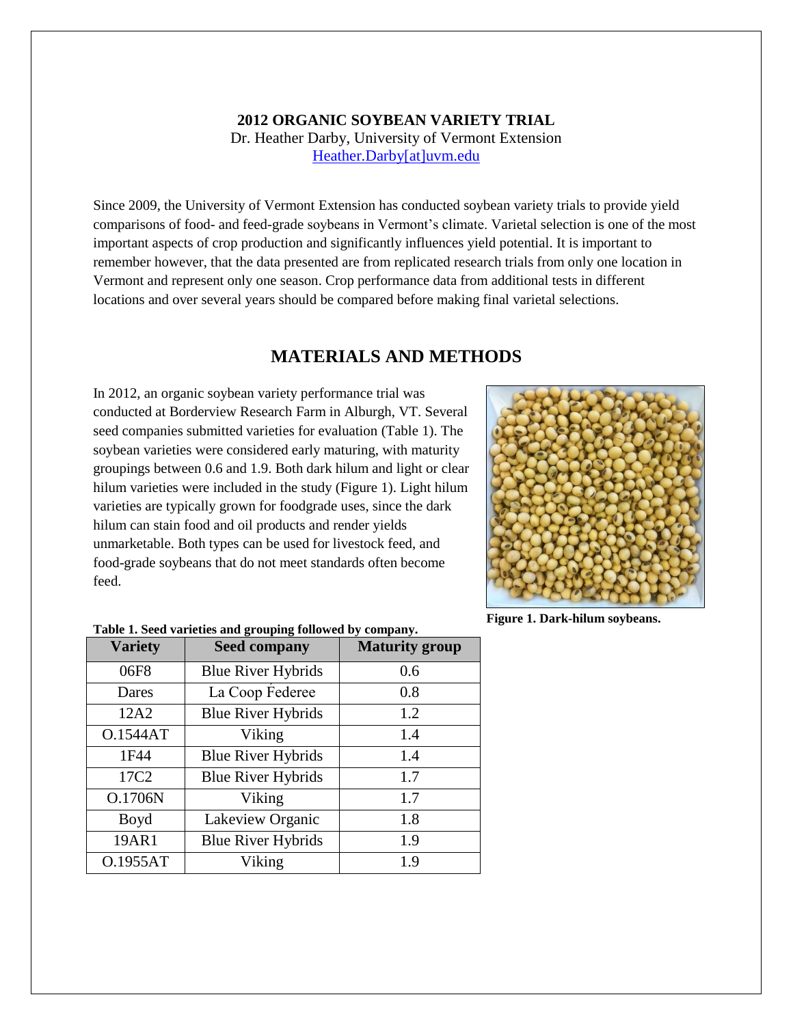### **2012 ORGANIC SOYBEAN VARIETY TRIAL** Dr. Heather Darby, University of Vermont Extension [Heather.Darby\[at\]uvm.edu](mailto:Heather.Darby@uvm.edu?subject=2012%20Soybean%20Variety%20Trial)

Since 2009, the University of Vermont Extension has conducted soybean variety trials to provide yield comparisons of food- and feed-grade soybeans in Vermont's climate. Varietal selection is one of the most important aspects of crop production and significantly influences yield potential. It is important to remember however, that the data presented are from replicated research trials from only one location in Vermont and represent only one season. Crop performance data from additional tests in different locations and over several years should be compared before making final varietal selections.

## **MATERIALS AND METHODS**

In 2012, an organic soybean variety performance trial was conducted at Borderview Research Farm in Alburgh, VT. Several seed companies submitted varieties for evaluation (Table 1). The soybean varieties were considered early maturing, with maturity groupings between 0.6 and 1.9. Both dark hilum and light or clear hilum varieties were included in the study (Figure 1). Light hilum varieties are typically grown for foodgrade uses, since the dark hilum can stain food and oil products and render yields unmarketable. Both types can be used for livestock feed, and food-grade soybeans that do not meet standards often become feed.



**Figure 1. Dark-hilum soybeans.**

| <b>Variety</b>   | <b>Seed company</b>       | <b>Maturity group</b> |  |  |  |
|------------------|---------------------------|-----------------------|--|--|--|
| 06F8             | <b>Blue River Hybrids</b> | 0.6                   |  |  |  |
| Dares            | La Coop Federee           | 0.8                   |  |  |  |
| 12A2             | <b>Blue River Hybrids</b> | 1.2                   |  |  |  |
| <b>O.1544AT</b>  | Viking                    | 1.4                   |  |  |  |
| 1F44             | <b>Blue River Hybrids</b> | 1.4                   |  |  |  |
| 17C <sub>2</sub> | <b>Blue River Hybrids</b> | 1.7                   |  |  |  |
| O.1706N          | Viking                    | 1.7                   |  |  |  |
| Boyd             | Lakeview Organic          | 1.8                   |  |  |  |
| 19AR1            | <b>Blue River Hybrids</b> | 1.9                   |  |  |  |
| O.1955AT         | Viking                    | 19                    |  |  |  |

**Table 1. Seed varieties and grouping followed by company.**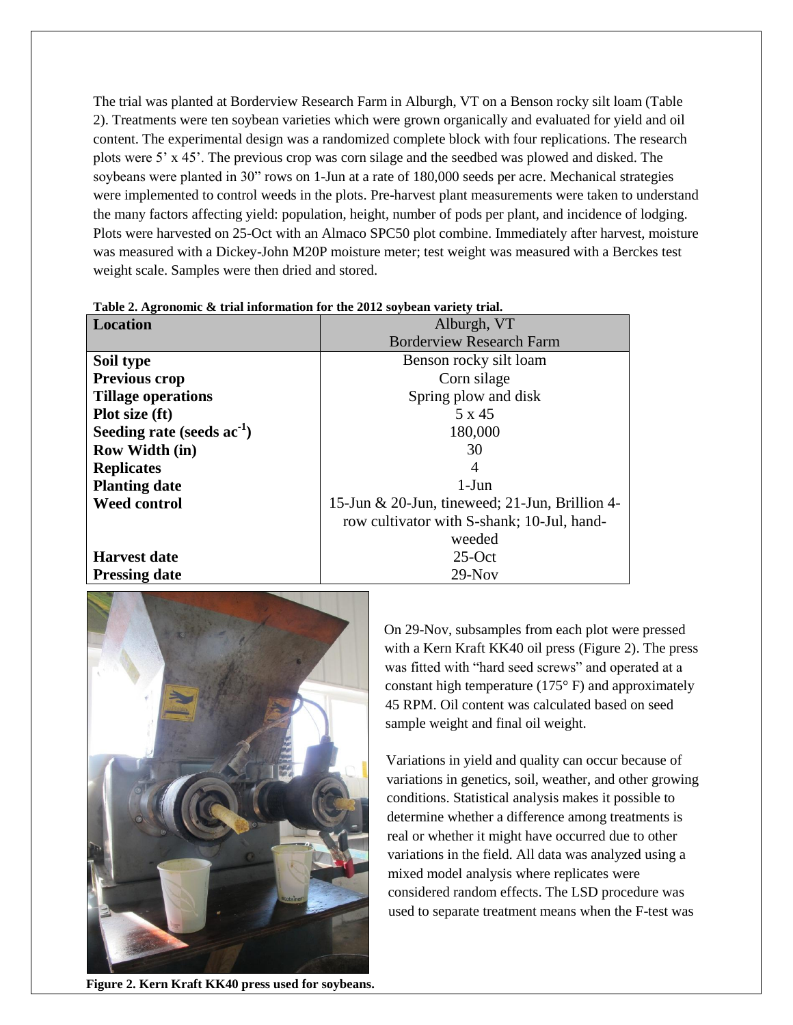The trial was planted at Borderview Research Farm in Alburgh, VT on a Benson rocky silt loam (Table 2). Treatments were ten soybean varieties which were grown organically and evaluated for yield and oil content. The experimental design was a randomized complete block with four replications. The research lots were 5' x 45'. The previous crop was corn silage and the seedbed was plowed and disked. The soybeans were planted in 30" rows on 1-Jun at a rate of 180,000 seeds per acre. Mechanical strategies were implemented to control weeds in the plots. Pre-harvest plant measurements were taken to understand the many factors affecting yield: population, height, number of pods per plant, and incidence of lodging. Plots were harvested on 25-Oct with an Almaco SPC50 plot combine. Immediately after harvest, moisture was measured with a Dickey-John M20P moisture meter; test weight was measured with a Berckes test weight scale. Samples were then dried and stored.

| <b>Location</b>                 | Alburgh, VT                                       |  |  |  |  |
|---------------------------------|---------------------------------------------------|--|--|--|--|
|                                 | <b>Borderview Research Farm</b>                   |  |  |  |  |
| Soil type                       | Benson rocky silt loam                            |  |  |  |  |
| <b>Previous crop</b>            | Corn silage                                       |  |  |  |  |
| <b>Tillage operations</b>       | Spring plow and disk                              |  |  |  |  |
| Plot size (ft)                  | 5 x 45                                            |  |  |  |  |
| Seeding rate (seeds $ac^{-1}$ ) | 180,000                                           |  |  |  |  |
| <b>Row Width (in)</b>           | 30                                                |  |  |  |  |
| <b>Replicates</b>               | $\overline{4}$                                    |  |  |  |  |
| <b>Planting date</b>            | $1-J$ un                                          |  |  |  |  |
| <b>Weed control</b>             | 15-Jun $& 20$ -Jun, tineweed; 21-Jun, Brillion 4- |  |  |  |  |
|                                 | row cultivator with S-shank; 10-Jul, hand-        |  |  |  |  |
|                                 | weeded                                            |  |  |  |  |
| <b>Harvest date</b>             | $25-Oct$                                          |  |  |  |  |
| <b>Pressing date</b>            | $29-Nov$                                          |  |  |  |  |

**Table 2. Agronomic & trial information for the 2012 soybean variety trial.**



**Figure 2. Kern Kraft KK40 press used for soybeans.**

On 29-Nov, subsamples from each plot were pressed with a Kern Kraft KK40 oil press (Figure 2). The press was fitted with "hard seed screws" and operated at a constant high temperature (175° F) and approximately 45 RPM. Oil content was calculated based on seed sample weight and final oil weight.

Variations in yield and quality can occur because of variations in genetics, soil, weather, and other growing conditions. Statistical analysis makes it possible to determine whether a difference among treatments is real or whether it might have occurred due to other variations in the field. All data was analyzed using a mixed model analysis where replicates were considered random effects. The LSD procedure was used to separate treatment means when the F-test was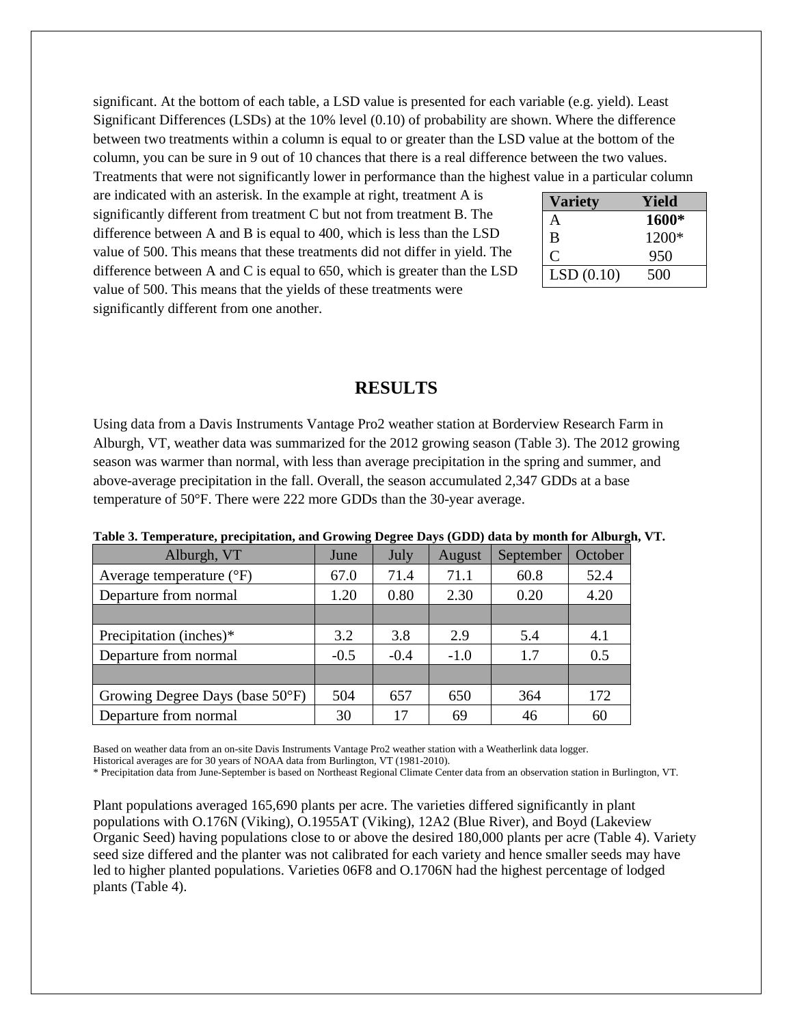significant. At the bottom of each table, a LSD value is presented for each variable (e.g. yield). Least Significant Differences (LSDs) at the 10% level (0.10) of probability are shown. Where the difference between two treatments within a column is equal to or greater than the LSD value at the bottom of the column, you can be sure in 9 out of 10 chances that there is a real difference between the two values. Treatments that were not significantly lower in performance than the highest value in a particular column

are indicated with an asterisk. In the example at right, treatment A is significantly different from treatment C but not from treatment B. The difference between A and B is equal to 400, which is less than the LSD value of 500. This means that these treatments did not differ in yield. The difference between A and C is equal to 650, which is greater than the LSD value of 500. This means that the yields of these treatments were significantly different from one another.

| Variety   | Yield   |
|-----------|---------|
| A         | 1600*   |
| B         | $1200*$ |
| 0         | 950     |
| LSD(0.10) | 500     |

#### **RESULTS**

Using data from a Davis Instruments Vantage Pro2 weather station at Borderview Research Farm in Alburgh, VT, weather data was summarized for the 2012 growing season (Table 3). The 2012 growing season was warmer than normal, with less than average precipitation in the spring and summer, and above-average precipitation in the fall. Overall, the season accumulated 2,347 GDDs at a base temperature of 50°F. There were 222 more GDDs than the 30-year average.

| Alburgh, VT                         | June   | July   | August | September | October |
|-------------------------------------|--------|--------|--------|-----------|---------|
| Average temperature $({}^{\circ}F)$ | 67.0   | 71.4   | 71.1   | 60.8      | 52.4    |
| Departure from normal               | 1.20   | 0.80   | 2.30   | 0.20      | 4.20    |
|                                     |        |        |        |           |         |
| Precipitation (inches)*             | 3.2    | 3.8    | 2.9    | 5.4       | 4.1     |
| Departure from normal               | $-0.5$ | $-0.4$ | $-1.0$ | 17        | 0.5     |
|                                     |        |        |        |           |         |
| Growing Degree Days (base 50°F)     | 504    | 657    | 650    | 364       | 172     |
| Departure from normal               | 30     | 17     | 69     | 46        | 60      |

**Table 3. Temperature, precipitation, and Growing Degree Days (GDD) data by month for Alburgh, VT.**

Based on weather data from an on-site Davis Instruments Vantage Pro2 weather station with a Weatherlink data logger. Historical averages are for 30 years of NOAA data from Burlington, VT (1981-2010).

\* Precipitation data from June-September is based on Northeast Regional Climate Center data from an observation station in Burlington, VT.

Plant populations averaged 165,690 plants per acre. The varieties differed significantly in plant populations with O.176N (Viking), O.1955AT (Viking), 12A2 (Blue River), and Boyd (Lakeview Organic Seed) having populations close to or above the desired 180,000 plants per acre (Table 4). Variety seed size differed and the planter was not calibrated for each variety and hence smaller seeds may have led to higher planted populations. Varieties 06F8 and O.1706N had the highest percentage of lodged plants (Table 4).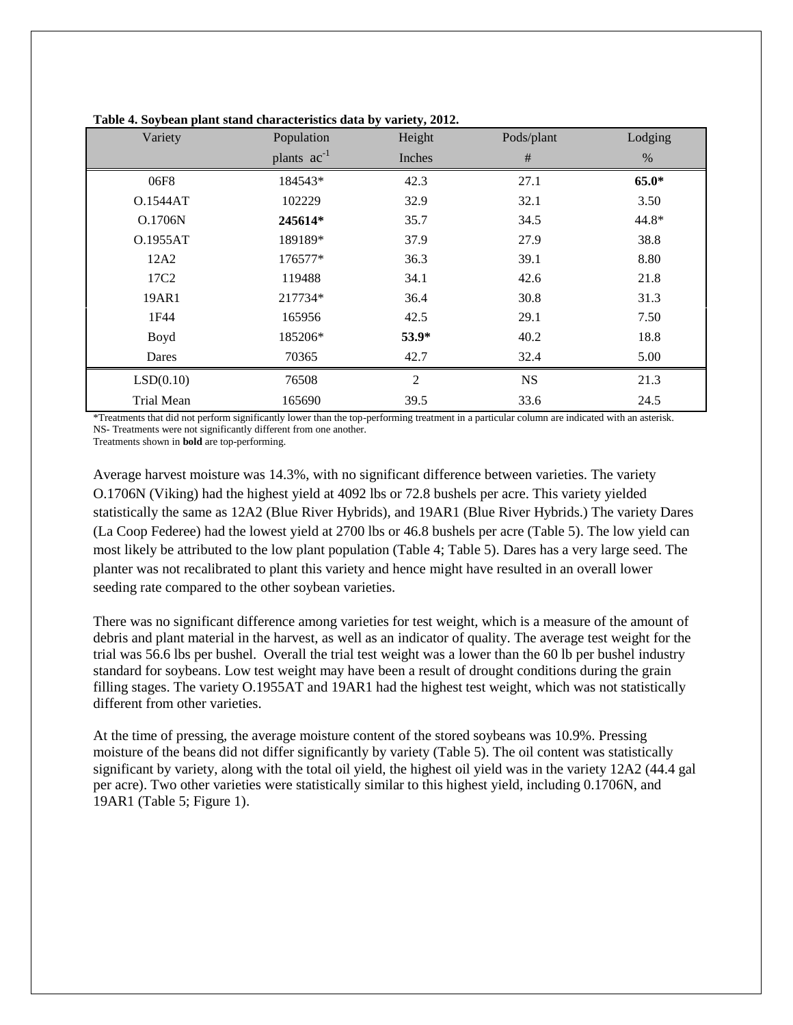| Variety          | Population       | $\cdot$<br>Height | Pods/plant | Lodging |
|------------------|------------------|-------------------|------------|---------|
|                  | plants $ac^{-1}$ | Inches            | $\#$       | $\%$    |
| 06F8             | 184543*          | 42.3              | 27.1       | $65.0*$ |
| O.1544AT         | 102229           | 32.9              | 32.1       | 3.50    |
| O.1706N          | 245614*          | 35.7              | 34.5       | 44.8*   |
| O.1955AT         | 189189*          | 37.9              | 27.9       | 38.8    |
| 12A2             | 176577*          | 36.3              | 39.1       | 8.80    |
| 17C <sub>2</sub> | 119488           | 34.1              | 42.6       | 21.8    |
| 19AR1            | 217734*          | 36.4              | 30.8       | 31.3    |
| 1F44             | 165956           | 42.5              | 29.1       | 7.50    |
| Boyd             | 185206*          | $53.9*$           | 40.2       | 18.8    |
| Dares            | 70365            | 42.7              | 32.4       | 5.00    |
| LSD(0.10)        | 76508            | $\overline{2}$    | <b>NS</b>  | 21.3    |
| Trial Mean       | 165690           | 39.5              | 33.6       | 24.5    |

**Table 4. Soybean plant stand characteristics data by variety, 2012.**

\*Treatments that did not perform significantly lower than the top-performing treatment in a particular column are indicated with an asterisk. NS- Treatments were not significantly different from one another.

Treatments shown in **bold** are top-performing.

Average harvest moisture was 14.3%, with no significant difference between varieties. The variety O.1706N (Viking) had the highest yield at 4092 lbs or 72.8 bushels per acre. This variety yielded statistically the same as 12A2 (Blue River Hybrids), and 19AR1 (Blue River Hybrids.) The variety Dares (La Coop Federee) had the lowest yield at 2700 lbs or 46.8 bushels per acre (Table 5). The low yield can most likely be attributed to the low plant population (Table 4; Table 5). Dares has a very large seed. The planter was not recalibrated to plant this variety and hence might have resulted in an overall lower seeding rate compared to the other soybean varieties.

There was no significant difference among varieties for test weight, which is a measure of the amount of debris and plant material in the harvest, as well as an indicator of quality. The average test weight for the trial was 56.6 lbs per bushel. Overall the trial test weight was a lower than the 60 lb per bushel industry standard for soybeans. Low test weight may have been a result of drought conditions during the grain filling stages. The variety O.1955AT and 19AR1 had the highest test weight, which was not statistically different from other varieties.

At the time of pressing, the average moisture content of the stored soybeans was 10.9%. Pressing moisture of the beans did not differ significantly by variety (Table 5). The oil content was statistically significant by variety, along with the total oil yield, the highest oil yield was in the variety 12A2 (44.4 gal per acre). Two other varieties were statistically similar to this highest yield, including 0.1706N, and 19AR1 (Table 5; Figure 1).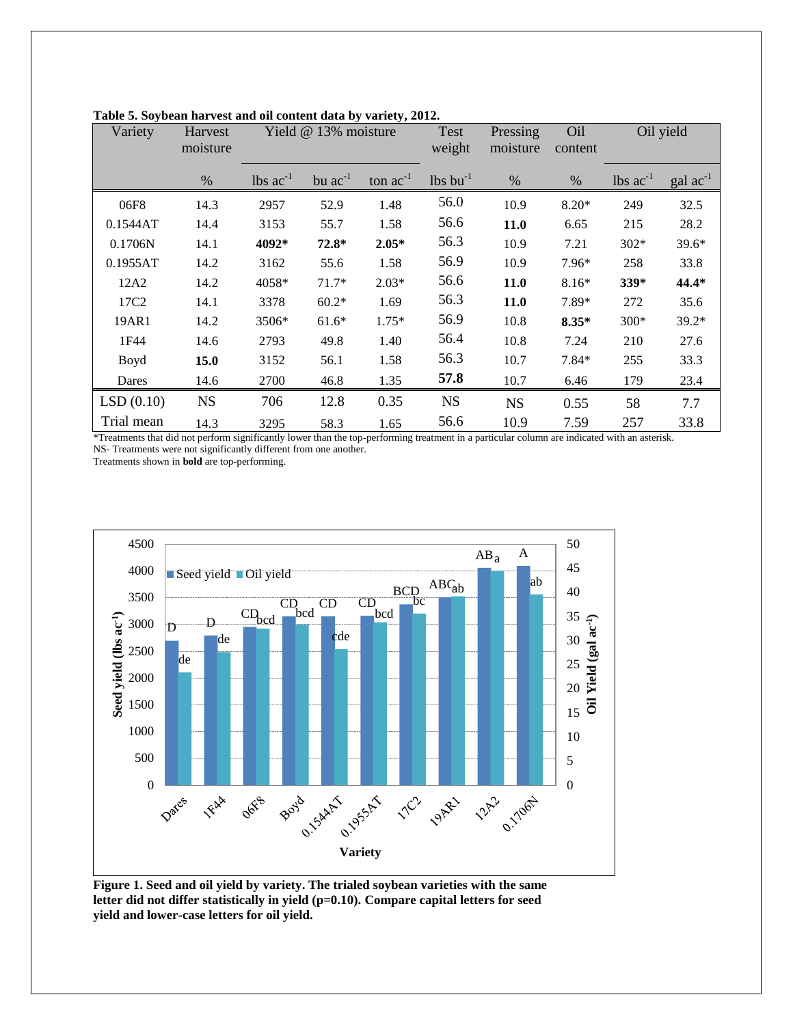| Variety                                                                                   | Harvest<br>moisture | $v_j$ , $u_{1}v_{j}$ , $u_{2}v_{3}$<br>Yield @ 13% moisture |              | <b>Test</b><br>weight | Pressing<br>moisture   | Oil<br>content             | Oil yield |                                              |                      |
|-------------------------------------------------------------------------------------------|---------------------|-------------------------------------------------------------|--------------|-----------------------|------------------------|----------------------------|-----------|----------------------------------------------|----------------------|
|                                                                                           | $\%$                | $\text{ lbs}$ $\text{ac}^{-1}$                              | bu $ac^{-1}$ | ton $ac^{-1}$         | $lbs$ bu <sup>-1</sup> | $\%$                       | $\%$      | $\text{ lbs } \text{ac}^{-1}$                | $\text{gal ac}^{-1}$ |
| 06F8                                                                                      | 14.3                | 2957                                                        | 52.9         | 1.48                  | 56.0                   | 10.9                       | $8.20*$   | 249                                          | 32.5                 |
| 0.1544AT                                                                                  | 14.4                | 3153                                                        | 55.7         | 1.58                  | 56.6                   | 11.0                       | 6.65      | 215                                          | 28.2                 |
| 0.1706N                                                                                   | 14.1                | 4092*                                                       | $72.8*$      | $2.05*$               | 56.3                   | 10.9                       | 7.21      | $302*$                                       | $39.6*$              |
| 0.1955AT                                                                                  | 14.2                | 3162                                                        | 55.6         | 1.58                  | 56.9                   | 10.9                       | 7.96*     | 258                                          | 33.8                 |
| 12A2                                                                                      | 14.2                | 4058*                                                       | $71.7*$      | $2.03*$               | 56.6                   | 11.0                       | $8.16*$   | 339*                                         | 44.4*                |
| 17C2                                                                                      | 14.1                | 3378                                                        | $60.2*$      | 1.69                  | 56.3                   | 11.0                       | 7.89*     | 272                                          | 35.6                 |
| 19AR1                                                                                     | 14.2                | 3506*                                                       | $61.6*$      | $1.75*$               | 56.9                   | 10.8                       | $8.35*$   | 300*                                         | 39.2*                |
| 1F44                                                                                      | 14.6                | 2793                                                        | 49.8         | 1.40                  | 56.4                   | 10.8                       | 7.24      | 210                                          | 27.6                 |
| Boyd                                                                                      | 15.0                | 3152                                                        | 56.1         | 1.58                  | 56.3                   | 10.7                       | 7.84*     | 255                                          | 33.3                 |
| Dares                                                                                     | 14.6                | 2700                                                        | 46.8         | 1.35                  | 57.8                   | 10.7                       | 6.46      | 179                                          | 23.4                 |
| LSD(0.10)                                                                                 | <b>NS</b>           | 706                                                         | 12.8         | 0.35                  | <b>NS</b>              | <b>NS</b>                  | 0.55      | 58                                           | 7.7                  |
| Trial mean<br>*Turnaturnala alaa 191 u aa mafa uu abaa 16 aa dhaba la marka ah oo ahaa ah | 14.3                | 3295                                                        | 58.3         | 1.65                  | 56.6                   | 10.9<br>ومطالبات والمستنقص | 7.59      | 257<br>the discussed contains and computed a | 33.8                 |

**Table 5. Soybean harvest and oil content data by variety, 2012.**

\*Treatments that did not perform significantly lower than the top-performing treatment in a particular column are indicated with an asterisk. NS- Treatments were not significantly different from one another.

Treatments shown in **bold** are top-performing.



**Figure 1. Seed and oil yield by variety. The trialed soybean varieties with the same letter did not differ statistically in yield (p=0.10). Compare capital letters for seed yield and lower-case letters for oil yield.**